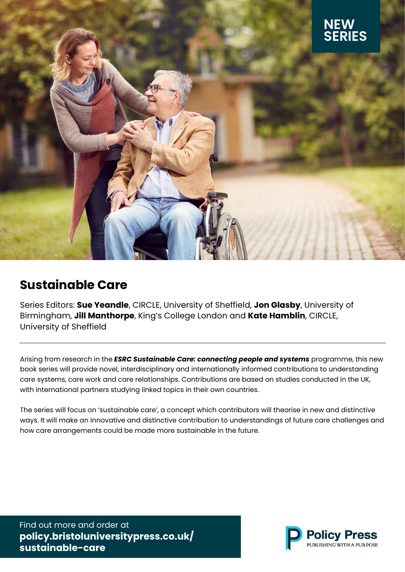

# **[Sustainable Care](https://policy.bristoluniversitypress.co.uk/sustainable-care)**

Series Editors: **Sue Yeandle**, CIRCLE, University of Sheffield, **Jon Glasby**, University of Birmingham, **Jill Manthorpe**, King's College London and **Kate Hamblin**, CIRCLE, University of Sheffield

Arising from research in the *[ESRC Sustainable Care: connecting people and systems]( http://circle.group.shef.ac.uk/sustainable-care/)* programme, this new book series will provide novel, interdisciplinary and internationally informed contributions to understanding care systems, care work and care relationships. Contributions are based on studies conducted in the UK, with international partners studying linked topics in their own countries.

The series will focus on 'sustainable care', a concept which contributors will theorise in new and distinctive ways. It will make an innovative and distinctive contribution to understandings of future care challenges and how care arrangements could be made more sustainable in the future.

Find out more and order at **[policy.bristoluniversitypress.co.uk/](https://policy.bristoluniversitypress.co.uk/sustainable-care) sustainable-care**